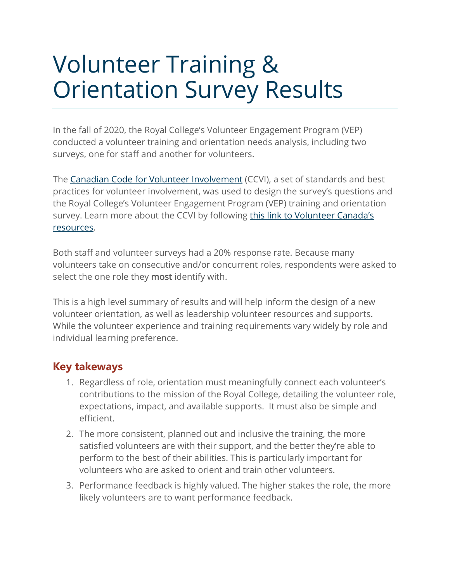## Volunteer Training & Orientation Survey Results

In the fall of 2020, the Royal College's Volunteer Engagement Program (VEP) conducted a volunteer training and orientation needs analysis, including two surveys, one for staff and another for volunteers.

The [Canadian Code for Volunteer Involvement](https://volunteer.ca/vdemo/researchandresources_docs/Volunteer_Canada_Putting_the_Code_Into_Action.pdf) (CCVI), a set of standards and best practices for volunteer involvement, was used to design the survey's questions and the Royal College's Volunteer Engagement Program (VEP) training and orientation survey. Learn more about the CCVI by following this link to Volunteer Canada's [resources.](https://volunteer.ca/index.php?MenuItemID=346)

Both staff and volunteer surveys had a 20% response rate. Because many volunteers take on consecutive and/or concurrent roles, respondents were asked to select the one role they most identify with.

This is a high level summary of results and will help inform the design of a new volunteer orientation, as well as leadership volunteer resources and supports. While the volunteer experience and training requirements vary widely by role and individual learning preference.

## **Key takeways**

- 1. Regardless of role, orientation must meaningfully connect each volunteer's contributions to the mission of the Royal College, detailing the volunteer role, expectations, impact, and available supports. It must also be simple and efficient.
- 2. The more consistent, planned out and inclusive the training, the more satisfied volunteers are with their support, and the better they're able to perform to the best of their abilities. This is particularly important for volunteers who are asked to orient and train other volunteers.
- 3. Performance feedback is highly valued. The higher stakes the role, the more likely volunteers are to want performance feedback.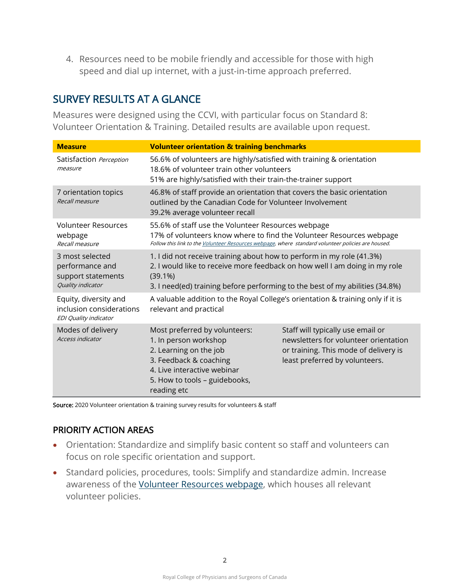4. Resources need to be mobile friendly and accessible for those with high speed and dial up internet, with a just-in-time approach preferred.

## SURVEY RESULTS AT A GLANCE

Measures were designed using the CCVI, with particular focus on Standard 8: Volunteer Orientation & Training. Detailed results are available upon request.

| <b>Measure</b>                                                                    | <b>Volunteer orientation &amp; training benchmarks</b>                                                                                                                                                                                            |                                                                                                                                                       |
|-----------------------------------------------------------------------------------|---------------------------------------------------------------------------------------------------------------------------------------------------------------------------------------------------------------------------------------------------|-------------------------------------------------------------------------------------------------------------------------------------------------------|
| Satisfaction Perception<br>measure                                                | 56.6% of volunteers are highly/satisfied with training & orientation<br>18.6% of volunteer train other volunteers<br>51% are highly/satisfied with their train-the-trainer support                                                                |                                                                                                                                                       |
| 7 orientation topics<br>Recall measure                                            | 46.8% of staff provide an orientation that covers the basic orientation<br>outlined by the Canadian Code for Volunteer Involvement<br>39.2% average volunteer recall                                                                              |                                                                                                                                                       |
| <b>Volunteer Resources</b><br>webpage<br>Recall measure                           | 55.6% of staff use the Volunteer Resources webpage<br>17% of volunteers know where to find the Volunteer Resources webpage<br>Follow this link to the Volunteer Resources webpage, where standard volunteer policies are housed.                  |                                                                                                                                                       |
| 3 most selected<br>performance and<br>support statements<br>Quality indicator     | 1. I did not receive training about how to perform in my role (41.3%)<br>2. I would like to receive more feedback on how well I am doing in my role<br>$(39.1\%)$<br>3. I need(ed) training before performing to the best of my abilities (34.8%) |                                                                                                                                                       |
| Equity, diversity and<br>inclusion considerations<br><b>EDI Quality indicator</b> | A valuable addition to the Royal College's orientation & training only if it is<br>relevant and practical                                                                                                                                         |                                                                                                                                                       |
| Modes of delivery<br><b>Access indicator</b>                                      | Most preferred by volunteers:<br>1. In person workshop<br>2. Learning on the job<br>3. Feedback & coaching<br>4. Live interactive webinar<br>5. How to tools - guidebooks,<br>reading etc                                                         | Staff will typically use email or<br>newsletters for volunteer orientation<br>or training. This mode of delivery is<br>least preferred by volunteers. |

Source: 2020 Volunteer orientation & training survey results for volunteers & staff

## PRIORITY ACTION AREAS

- Orientation: Standardize and simplify basic content so staff and volunteers can focus on role specific orientation and support.
- Standard policies, procedures, tools: Simplify and standardize admin. Increase awareness of the [Volunteer Resources webpage,](http://www.royalcollege.ca/rcsite/membership/volunteer-resources-e) which houses all relevant volunteer policies.